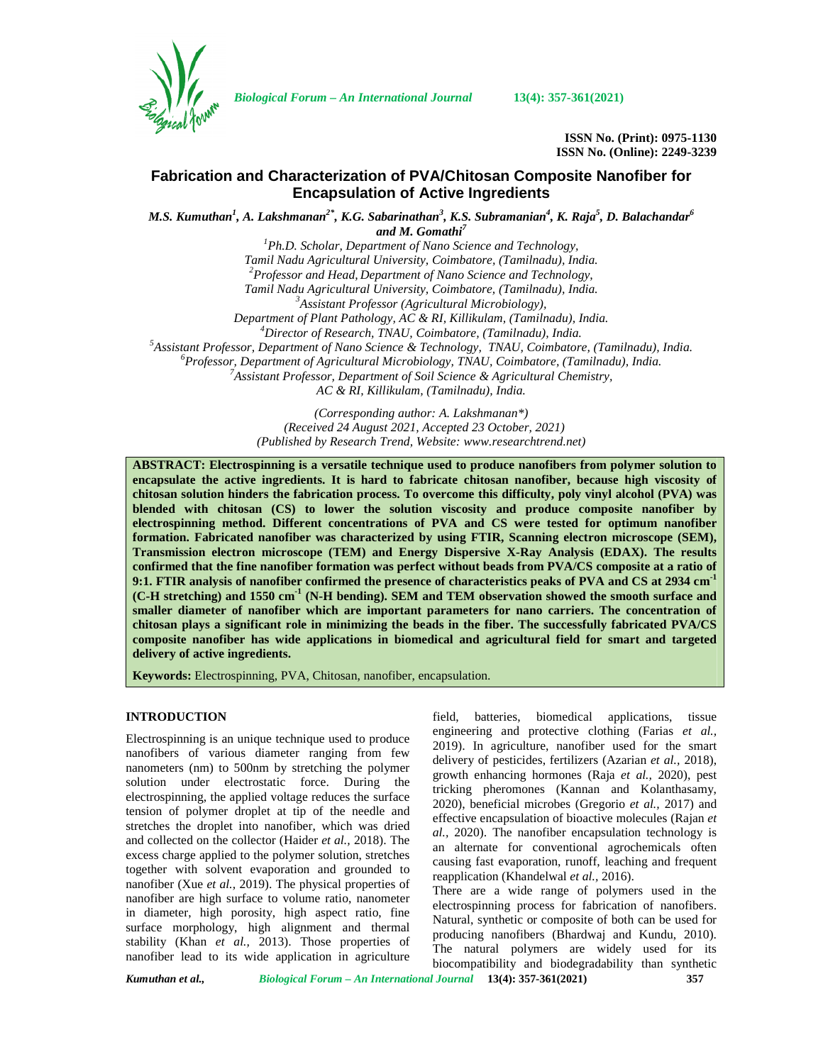

*Biological Forum – An International Journal* **13(4): 357-361(2021)**

**ISSN No. (Print): 0975-1130 ISSN No. (Online): 2249-3239**

# **Fabrication and Characterization of PVA/Chitosan Composite Nanofiber for Encapsulation of Active Ingredients**

M.S. Kumuthan<sup>1</sup>, A. Lakshmanan<sup>2\*</sup>, K.G. Sabarinathan<sup>3</sup>, K.S. Subramanian<sup>4</sup>, K. Raja<sup>5</sup>, D. Balachandar<sup>6</sup>

*and M. Gomathi<sup>7</sup>*

*<sup>1</sup>Ph.D. Scholar, Department of Nano Science and Technology, Tamil Nadu Agricultural University, Coimbatore, (Tamilnadu), India. <sup>2</sup>Professor and Head, Department of Nano Science and Technology, Tamil Nadu Agricultural University, Coimbatore, (Tamilnadu), India. <sup>3</sup>Assistant Professor (Agricultural Microbiology),*

<sup>5</sup> Assistant Professor, Department of Nano Science & Technology, TNAU, Coimbatore, (Tamilnadu), India.<br><sup>5</sup> Assistant Professor, Department of Nano Science & Technology, TNAU, Coimbatore, (Tamilnadu), India.<br><sup>6</sup> Professor

*AC & RI, Killikulam, (Tamilnadu), India.*

*(Corresponding author: A. Lakshmanan\*) (Received 24 August 2021, Accepted 23 October, 2021) (Published by Research Trend, Website: [www.researchtrend.net\)](www.researchtrend.net)*

**ABSTRACT: Electrospinning is a versatile technique used to produce nanofibers from polymer solution to encapsulate the active ingredients. It is hard to fabricate chitosan nanofiber, because high viscosity of chitosan solution hinders the fabrication process. To overcome this difficulty, poly vinyl alcohol (PVA) was blended with chitosan (CS) to lower the solution viscosity and produce composite nanofiber by electrospinning method. Different concentrations of PVA and CS were tested for optimum nanofiber formation. Fabricated nanofiber was characterized by using FTIR, Scanning electron microscope (SEM), Transmission electron microscope (TEM) and Energy Dispersive X-Ray Analysis (EDAX). The results confirmed that the fine nanofiber formation was perfect without beads from PVA/CS composite at a ratio of 9:1. FTIR analysis of nanofiber confirmed the presence of characteristics peaks of PVA and CS at 2934 cm-1 (C-H stretching) and 1550 cm-1 (N-H bending). SEM and TEM observation showed the smooth surface and smaller diameter of nanofiber which are important parameters for nano carriers. The concentration of chitosan plays a significant role in minimizing the beads in the fiber. The successfully fabricated PVA/CS composite nanofiber has wide applications in biomedical and agricultural field for smart and targeted delivery of active ingredients.**

**Keywords:** Electrospinning, PVA, Chitosan, nanofiber, encapsulation.

# **INTRODUCTION**

Electrospinning is an unique technique used to produce nanofibers of various diameter ranging from few nanometers (nm) to 500nm by stretching the polymer solution under electrostatic force. During the electrospinning, the applied voltage reduces the surface tension of polymer droplet at tip of the needle and stretches the droplet into nanofiber, which was dried and collected on the collector (Haider *et al.,* 2018). The excess charge applied to the polymer solution, stretches together with solvent evaporation and grounded to nanofiber (Xue *et al.,* 2019). The physical properties of nanofiber are high surface to volume ratio, nanometer in diameter, high porosity, high aspect ratio, fine surface morphology, high alignment and thermal stability (Khan *et al.,* 2013). Those properties of nanofiber lead to its wide application in agriculture

field, batteries, biomedical applications, tissue engineering and protective clothing (Farias *et al.,* 2019). In agriculture, nanofiber used for the smart delivery of pesticides, fertilizers (Azarian *et al.,* 2018), growth enhancing hormones (Raja *et al.,* 2020), pest tricking pheromones (Kannan and Kolanthasamy, 2020), beneficial microbes (Gregorio *et al.,* 2017) and effective encapsulation of bioactive molecules (Rajan *et al.,* 2020). The nanofiber encapsulation technology is an alternate for conventional agrochemicals often causing fast evaporation, runoff, leaching and frequent reapplication (Khandelwal *et al.,* 2016). There are a wide range of polymers used in the electrospinning process for fabrication of nanofibers. Natural, synthetic or composite of both can be used for producing nanofibers (Bhardwaj and Kundu, 2010). The natural polymers are widely used for its biocompatibility and biodegradability than synthetic

*Kumuthan et al., Biological Forum – An International Journal* **13(4): 357-361(2021) 357**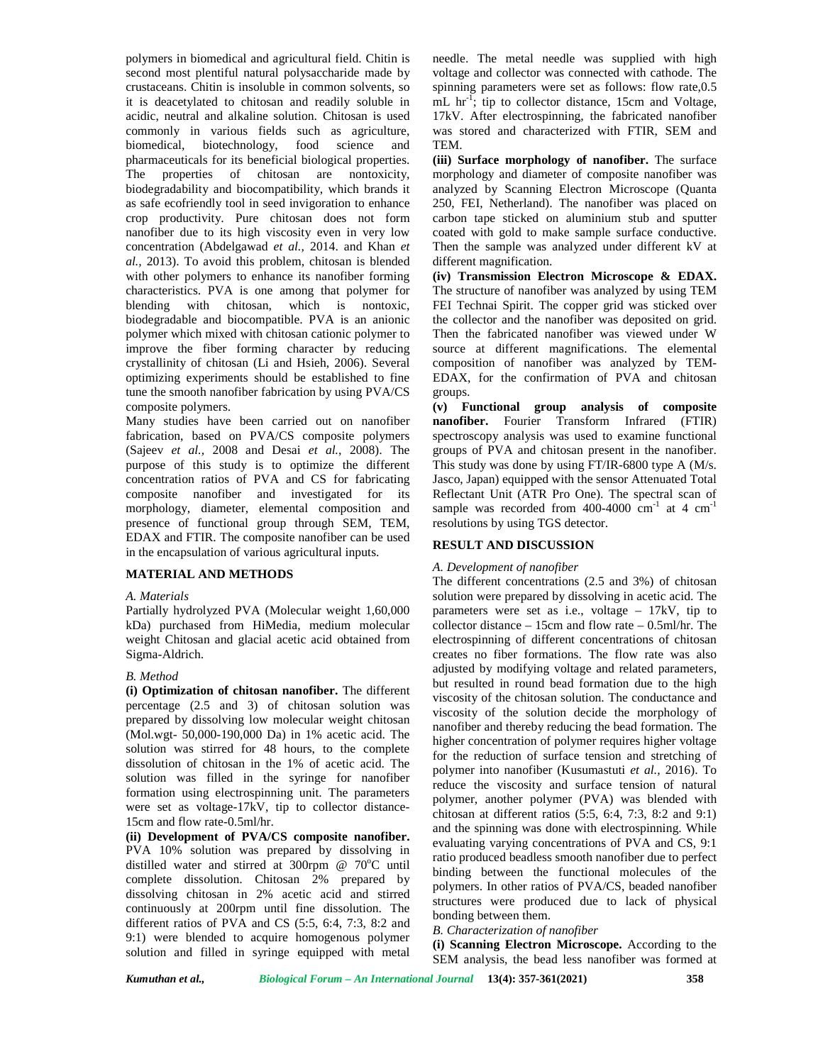polymers in biomedical and agricultural field. Chitin is second most plentiful natural polysaccharide made by crustaceans. Chitin is insoluble in common solvents, so it is deacetylated to chitosan and readily soluble in acidic, neutral and alkaline solution. Chitosan is used commonly in various fields such as agriculture, biomedical, biotechnology, food science and pharmaceuticals for its beneficial biological properties. The properties of chitosan are nontoxicity, biodegradability and biocompatibility, which brands it as safe ecofriendly tool in seed invigoration to enhance crop productivity. Pure chitosan does not form nanofiber due to its high viscosity even in very low concentration (Abdelgawad *et al.,* 2014. and Khan *et al.,* 2013). To avoid this problem, chitosan is blended with other polymers to enhance its nanofiber forming characteristics. PVA is one among that polymer for blending with chitosan, which is nontoxic, blending with chitosan, biodegradable and biocompatible. PVA is an anionic polymer which mixed with chitosan cationic polymer to improve the fiber forming character by reducing crystallinity of chitosan (Li and Hsieh, 2006). Several optimizing experiments should be established to fine tune the smooth nanofiber fabrication by using PVA/CS composite polymers.

Many studies have been carried out on nanofiber fabrication, based on PVA/CS composite polymers (Sajeev *et al.,* 2008 and Desai *et al.,* 2008). The purpose of this study is to optimize the different concentration ratios of PVA and CS for fabricating composite nanofiber and investigated for its morphology, diameter, elemental composition and presence of functional group through SEM, TEM, EDAX and FTIR. The composite nanofiber can be used in the encapsulation of various agricultural inputs.

## **MATERIAL AND METHODS**

# *A. Materials*

Partially hydrolyzed PVA (Molecular weight 1,60,000 kDa) purchased from HiMedia, medium molecular weight Chitosan and glacial acetic acid obtained from Sigma-Aldrich.

#### *B. Method*

**(i) Optimization of chitosan nanofiber.** The different percentage (2.5 and 3) of chitosan solution was prepared by dissolving low molecular weight chitosan (Mol.wgt- 50,000-190,000 Da) in 1% acetic acid. The solution was stirred for 48 hours, to the complete dissolution of chitosan in the 1% of acetic acid. The solution was filled in the syringe for nanofiber formation using electrospinning unit. The parameters were set as voltage-17kV, tip to collector distance- 15cm and flow rate-0.5ml/hr.

**(ii) Development of PVA/CS composite nanofiber.** PVA 10% solution was prepared by dissolving in distilled water and stirred at 300rpm  $@ 70^{\circ}$ C until complete dissolution. Chitosan 2% prepared by dissolving chitosan in 2% acetic acid and stirred continuously at 200rpm until fine dissolution. The different ratios of PVA and CS (5:5, 6:4, 7:3, 8:2 and 9:1) were blended to acquire homogenous polymer solution and filled in syringe equipped with metal

needle. The metal needle was supplied with high voltage and collector was connected with cathode. The spinning parameters were set as follows: flow rate,0.5  $mL$  hr<sup>-1</sup>; tip to collector distance, 15cm and Voltage, 17kV. After electrospinning, the fabricated nanofiber was stored and characterized with FTIR, SEM and TEM.

**(iii) Surface morphology of nanofiber.** The surface morphology and diameter of composite nanofiber was analyzed by Scanning Electron Microscope (Quanta 250, FEI, Netherland). The nanofiber was placed on carbon tape sticked on aluminium stub and sputter coated with gold to make sample surface conductive. Then the sample was analyzed under different kV at different magnification.

**(iv) Transmission Electron Microscope & EDAX.** The structure of nanofiber was analyzed by using TEM FEI Technai Spirit. The copper grid was sticked over the collector and the nanofiber was deposited on grid. Then the fabricated nanofiber was viewed under W source at different magnifications. The elemental composition of nanofiber was analyzed by TEM- EDAX, for the confirmation of PVA and chitosan groups.

**(v) Functional group analysis of composite nanofiber.** Fourier Transform Infrared (FTIR) spectroscopy analysis was used to examine functional groups of PVA and chitosan present in the nanofiber. This study was done by using FT/IR-6800 type A (M/s. Jasco, Japan) equipped with the sensor Attenuated Total Reflectant Unit (ATR Pro One). The spectral scan of sample was recorded from  $400-4000$  cm<sup>-1</sup> at 4 cm<sup>-1</sup> resolutions by using TGS detector.

### **RESULT AND DISCUSSION**

#### *A. Development of nanofiber*

The different concentrations (2.5 and 3%) of chitosan solution were prepared by dissolving in acetic acid. The parameters were set as i.e., voltage – 17kV, tip to collector distance – 15cm and flow rate – 0.5ml/hr. The electrospinning of different concentrations of chitosan creates no fiber formations. The flow rate was also adjusted by modifying voltage and related parameters, but resulted in round bead formation due to the high viscosity of the chitosan solution. The conductance and viscosity of the solution decide the morphology of nanofiber and thereby reducing the bead formation. The higher concentration of polymer requires higher voltage for the reduction of surface tension and stretching of polymer into nanofiber (Kusumastuti *et al.,* 2016). To reduce the viscosity and surface tension of natural polymer, another polymer (PVA) was blended with chitosan at different ratios (5:5, 6:4, 7:3, 8:2 and 9:1) and the spinning was done with electrospinning. While evaluating varying concentrations of PVA and CS, 9:1 ratio produced beadless smooth nanofiber due to perfect binding between the functional molecules of the polymers. In other ratios of PVA/CS, beaded nanofiber structures were produced due to lack of physical bonding between them.

## *B. Characterization of nanofiber*

**(i) Scanning Electron Microscope.** According to the SEM analysis, the bead less nanofiber was formed at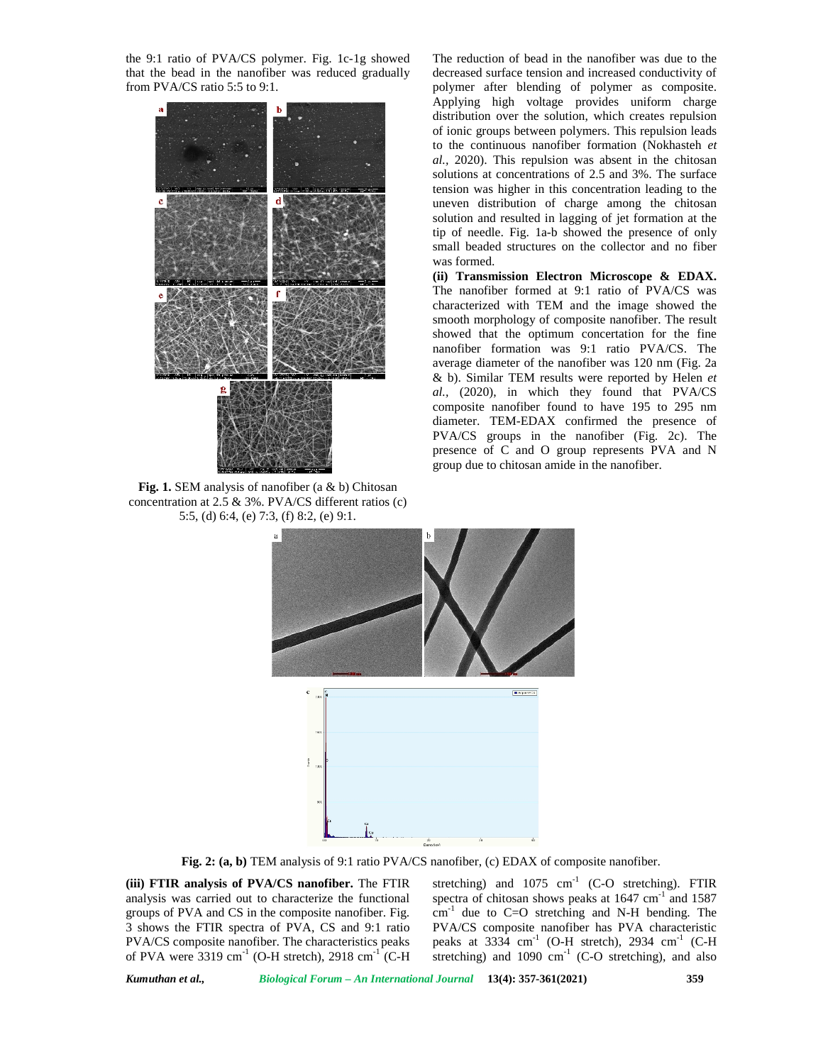the 9:1 ratio of PVA/CS polymer. Fig. 1c-1g showed that the bead in the nanofiber was reduced gradually from PVA/CS ratio 5:5 to 9:1.



**Fig. 1.** SEM analysis of nanofiber (a & b) Chitosan concentration at 2.5 & 3%. PVA/CS different ratios (c) 5:5, (d) 6:4, (e) 7:3, (f) 8:2, (e) 9:1.

The reduction of bead in the nanofiber was due to the decreased surface tension and increased conductivity of polymer after blending of polymer as composite. Applying high voltage provides uniform charge distribution over the solution, which creates repulsion of ionic groups between polymers. This repulsion leads to the continuous nanofiber formation (Nokhasteh *et al.,* 2020). This repulsion was absent in the chitosan solutions at concentrations of 2.5 and 3%. The surface tension was higher in this concentration leading to the uneven distribution of charge among the chitosan solution and resulted in lagging of jet formation at the tip of needle. Fig. 1a-b showed the presence of only small beaded structures on the collector and no fiber was formed.

**(ii) Transmission Electron Microscope & EDAX.** The nanofiber formed at 9:1 ratio of PVA/CS was characterized with TEM and the image showed the smooth morphology of composite nanofiber. The result showed that the optimum concertation for the fine nanofiber formation was 9:1 ratio PVA/CS. The average diameter of the nanofiber was 120 nm (Fig. 2a & b). Similar TEM results were reported by Helen *et al.,* (2020), in which they found that PVA/CS composite nanofiber found to have 195 to 295 nm diameter. TEM-EDAX confirmed the presence of PVA/CS groups in the nanofiber (Fig. 2c). The presence of C and O group represents PVA and N group due to chitosan amide in the nanofiber.



**Fig. 2: (a, b)** TEM analysis of 9:1 ratio PVA/CS nanofiber, (c) EDAX of composite nanofiber.

**(iii) FTIR analysis of PVA/CS nanofiber.** The FTIR analysis was carried out to characterize the functional groups of PVA and CS in the composite nanofiber. Fig. 3 shows the FTIR spectra of PVA, CS and 9:1 ratio PVA/CS composite nanofiber. The characteristics peaks of PVA were  $3319 \text{ cm}^{-1}$  (O-H stretch), 2918 cm<sup>-1</sup> (C-H)

stretching) and  $1075 \text{ cm}^{-1}$  (C-O stretching). FTIR spectra of chitosan shows peaks at 1647 cm<sup>-1</sup> and 1587  $cm<sup>-1</sup>$  due to C=O stretching and N-H bending. The PVA/CS composite nanofiber has PVA characteristic peaks at  $333\overline{4}$  cm<sup>-1</sup> (O-H stretch), 2934 cm<sup>-1</sup> (C-H stretching) and  $1090 \text{ cm}^{-1}$  (C-O stretching), and also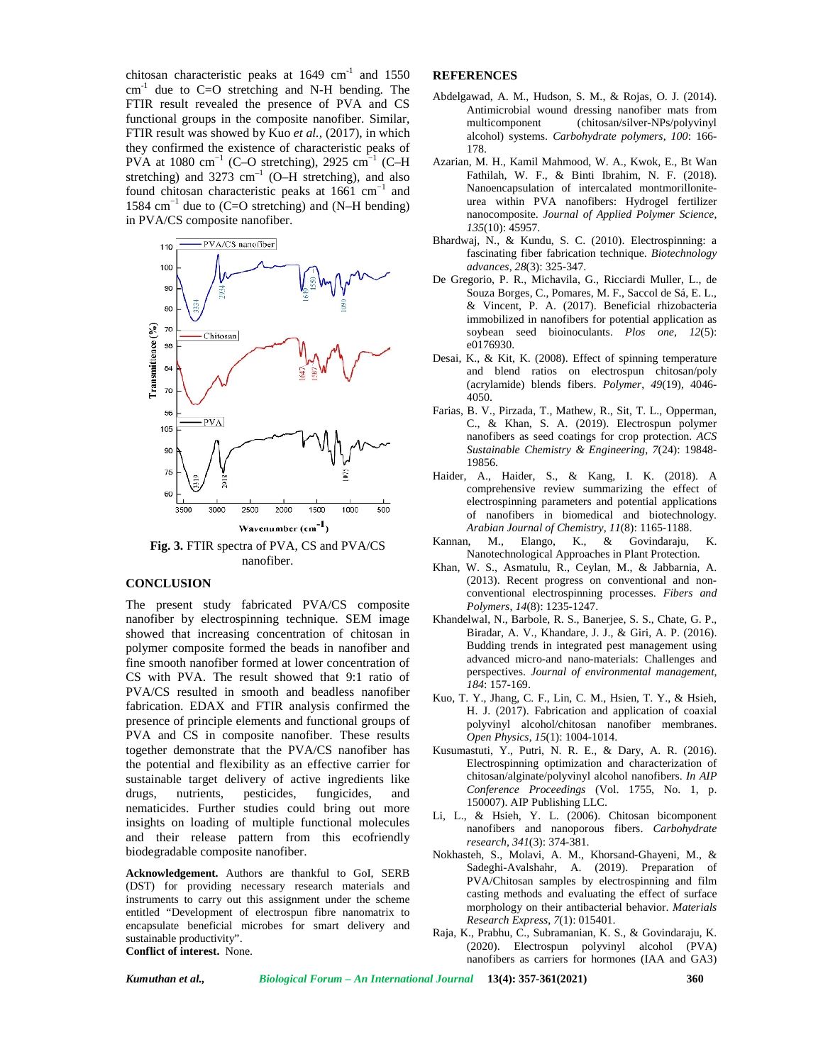chitosan characteristic peaks at  $1649 \text{ cm}^{-1}$  and  $1550$  $cm<sup>-1</sup>$  due to C=O stretching and N-H bending. The FTIR result revealed the presence of PVA and CS functional groups in the composite nanofiber. Similar, FTIR result was showed by Kuo *et al.,* (2017), in which they confirmed the existence of characteristic peaks of PVA at 1080 cm<sup>-1</sup> (C–O stretching), 2925 cm<sup>-1</sup> (C–H stretching) and  $3273 \text{ cm}^{-1}$  (O-H stretching), and also found chitosan characteristic peaks at 1661 cm<sup>−</sup><sup>1</sup> and 1584 cm<sup>−</sup><sup>1</sup> due to (C=O stretching) and (N–H bending) in PVA/CS composite nanofiber.



Fig. 3. FTIR spectra of PVA, CS and PVA/CS Kannan, nanofiber.

# **CONCLUSION**

The present study fabricated PVA/CS composite nanofiber by electrospinning technique. SEM image showed that increasing concentration of chitosan in polymer composite formed the beads in nanofiber and fine smooth nanofiber formed at lower concentration of CS with PVA. The result showed that 9:1 ratio of PVA/CS resulted in smooth and beadless nanofiber fabrication. EDAX and FTIR analysis confirmed the presence of principle elements and functional groups of PVA and CS in composite nanofiber. These results together demonstrate that the PVA/CS nanofiber has the potential and flexibility as an effective carrier for sustainable target delivery of active ingredients like drugs, nutrients, pesticides, fungicides, and nematicides. Further studies could bring out more insights on loading of multiple functional molecules and their release pattern from this ecofriendly biodegradable composite nanofiber.

**Acknowledgement.** Authors are thankful to GoI, SERB (DST) for providing necessary research materials and instruments to carry out this assignment under the scheme entitled "Development of electrospun fibre nanomatrix to encapsulate beneficial microbes for smart delivery and sustainable productivity". **Conflict of interest.** None.

### **REFERENCES**

- Abdelgawad, A. M., Hudson, S. M., & Rojas, O. J. (2014). Antimicrobial wound dressing nanofiber mats from multicomponent (chitosan/silver-NPs/polyvinyl alcohol) systems. *Carbohydrate polymers*, *100*: 166- 178.
- Azarian, M. H., Kamil Mahmood, W. A., Kwok, E., Bt Wan Fathilah, W. F., & Binti Ibrahim, N. F. (2018). Nanoencapsulation of intercalated montmorillonite urea within PVA nanofibers: Hydrogel fertilizer nanocomposite. *Journal of Applied Polymer Science*, *135*(10): 45957.
- Bhardwaj, N., & Kundu, S. C. (2010). Electrospinning: a fascinating fiber fabrication technique. *Biotechnology advances*, *28*(3): 325-347.
- De Gregorio, P. R., Michavila, G., Ricciardi Muller, L., de Souza Borges, C., Pomares, M. F., Saccol de Sá, E. L., & Vincent, P. A. (2017). Beneficial rhizobacteria immobilized in nanofibers for potential application as soybean seed bioinoculants. *Plos one*, *12*(5): e0176930.
- Desai, K., & Kit, K. (2008). Effect of spinning temperature and blend ratios on electrospun chitosan/poly (acrylamide) blends fibers. *Polymer*, *49*(19), 4046- 4050.
- Farias, B. V., Pirzada, T., Mathew, R., Sit, T. L., Opperman, C., & Khan, S. A. (2019). Electrospun polymer nanofibers as seed coatings for crop protection. *ACS Sustainable Chemistry & Engineering*, *7*(24): 19848- 19856.
- Haider, A., Haider, S., & Kang, I. K. (2018). A comprehensive review summarizing the effect of electrospinning parameters and potential applications of nanofibers in biomedical and biotechnology. *Arabian Journal of Chemistry*, *11*(8): 1165-1188.
- M., Elango, K., & Govindaraju, K. Nanotechnological Approaches in Plant Protection.
- Khan, W. S., Asmatulu, R., Ceylan, M., & Jabbarnia, A. (2013). Recent progress on conventional and non conventional electrospinning processes. *Fibers and Polymers*, *14*(8): 1235-1247.
- Khandelwal, N., Barbole, R. S., Banerjee, S. S., Chate, G. P., Biradar, A. V., Khandare, J. J., & Giri, A. P. (2016). Budding trends in integrated pest management using advanced micro-and nano-materials: Challenges and perspectives. *Journal of environmental management*, *184*: 157-169.
- Kuo, T. Y., Jhang, C. F., Lin, C. M., Hsien, T. Y., & Hsieh, H. J. (2017). Fabrication and application of coaxial polyvinyl alcohol/chitosan nanofiber membranes. *Open Physics*, *15*(1): 1004-1014.
- Kusumastuti, Y., Putri, N. R. E., & Dary, A. R. (2016). Electrospinning optimization and characterization of chitosan/alginate/polyvinyl alcohol nanofibers. *In AIP Conference Proceedings* (Vol. 1755, No. 1, p. 150007). AIP Publishing LLC.
- Li, L., & Hsieh, Y. L. (2006). Chitosan bicomponent nanofibers and nanoporous fibers. *Carbohydrate research*, *341*(3): 374-381.
- Nokhasteh, S., Molavi, A. M., Khorsand-Ghayeni, M., & Sadeghi-Avalshahr, A. (2019). Preparation of PVA/Chitosan samples by electrospinning and film casting methods and evaluating the effect of surface morphology on their antibacterial behavior. *Materials Research Express*, *7*(1): 015401.
- Raja, K., Prabhu, C., Subramanian, K. S., & Govindaraju, K. (2020). Electrospun polyvinyl alcohol (PVA) nanofibers as carriers for hormones (IAA and GA3)

*Kumuthan et al., Biological Forum – An International Journal* **13(4): 357-361(2021) 360**